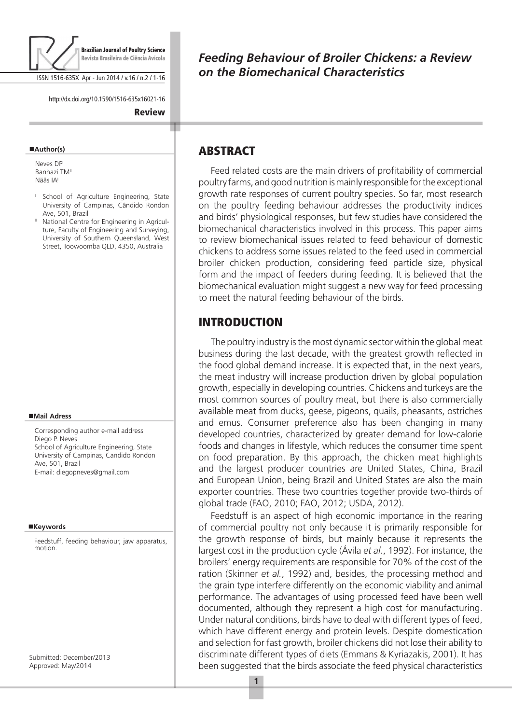

ISSN 1516-635X Apr - Jun 2014 / v.16 / n.2 / 1-16

http://dx.doi.org/10.1590/1516-635x16021-16

Review

### **Author(s)**

Neves DP Banhazi TMII Nääs IAI

- <sup>1</sup> School of Agriculture Engineering, State University of Campinas, Cândido Rondon Ave, 501, Brazil
- <sup>II</sup> National Centre for Engineering in Agriculture, Faculty of Engineering and Surveying, University of Southern Queensland, West Street, Toowoomba QLD, 4350, Australia

### **Mail Adress**

Corresponding author e-mail address Diego P. Neves School of Agriculture Engineering, State University of Campinas, Candido Rondon Ave, 501, Brazil E-mail: diegopneves@gmail.com

### **Keywords**

Feedstuff, feeding behaviour, jaw apparatus, motion.

Submitted: December/2013 Approved: May/2014

*Feeding Behaviour of Broiler Chickens: a Review on the Biomechanical Characteristics*

# **ABSTRACT**

Feed related costs are the main drivers of profitability of commercial poultry farms, and good nutrition is mainly responsible for the exceptional growth rate responses of current poultry species. So far, most research on the poultry feeding behaviour addresses the productivity indices and birds' physiological responses, but few studies have considered the biomechanical characteristics involved in this process. This paper aims to review biomechanical issues related to feed behaviour of domestic chickens to address some issues related to the feed used in commercial broiler chicken production, considering feed particle size, physical form and the impact of feeders during feeding. It is believed that the biomechanical evaluation might suggest a new way for feed processing to meet the natural feeding behaviour of the birds.

# **INTRODUCTION**

The poultry industry is the most dynamic sector within the global meat business during the last decade, with the greatest growth reflected in the food global demand increase. It is expected that, in the next years, the meat industry will increase production driven by global population growth, especially in developing countries. Chickens and turkeys are the most common sources of poultry meat, but there is also commercially available meat from ducks, geese, pigeons, quails, pheasants, ostriches and emus. Consumer preference also has been changing in many developed countries, characterized by greater demand for low-calorie foods and changes in lifestyle, which reduces the consumer time spent on food preparation. By this approach, the chicken meat highlights and the largest producer countries are United States, China, Brazil and European Union, being Brazil and United States are also the main exporter countries. These two countries together provide two-thirds of global trade (FAO, 2010; FAO, 2012; USDA, 2012).

Feedstuff is an aspect of high economic importance in the rearing of commercial poultry not only because it is primarily responsible for the growth response of birds, but mainly because it represents the largest cost in the production cycle (Ávila *et al.*, 1992). For instance, the broilers' energy requirements are responsible for 70% of the cost of the ration (Skinner *et al.*, 1992) and, besides, the processing method and the grain type interfere differently on the economic viability and animal performance. The advantages of using processed feed have been well documented, although they represent a high cost for manufacturing. Under natural conditions, birds have to deal with different types of feed, which have different energy and protein levels. Despite domestication and selection for fast growth, broiler chickens did not lose their ability to discriminate different types of diets (Emmans & Kyriazakis, 2001). It has been suggested that the birds associate the feed physical characteristics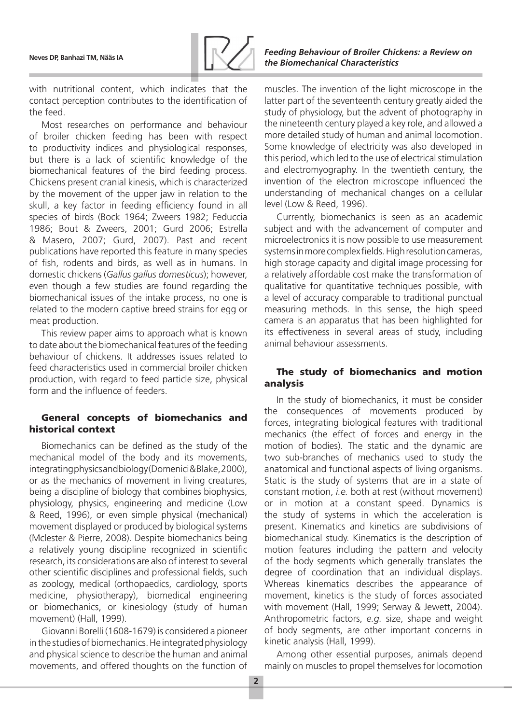

with nutritional content, which indicates that the contact perception contributes to the identification of the feed.

Most researches on performance and behaviour of broiler chicken feeding has been with respect to productivity indices and physiological responses, but there is a lack of scientific knowledge of the biomechanical features of the bird feeding process. Chickens present cranial kinesis, which is characterized by the movement of the upper jaw in relation to the skull, a key factor in feeding efficiency found in all species of birds (Bock 1964; Zweers 1982; Feduccia 1986; Bout & Zweers, 2001; Gurd 2006; Estrella & Masero, 2007; Gurd, 2007). Past and recent publications have reported this feature in many species of fish, rodents and birds, as well as in humans. In domestic chickens (*Gallus gallus domesticus*); however, even though a few studies are found regarding the biomechanical issues of the intake process, no one is related to the modern captive breed strains for egg or meat production.

This review paper aims to approach what is known to date about the biomechanical features of the feeding behaviour of chickens. It addresses issues related to feed characteristics used in commercial broiler chicken production, with regard to feed particle size, physical form and the influence of feeders.

# General concepts of biomechanics and historical context

Biomechanics can be defined as the study of the mechanical model of the body and its movements, integrating physics and biology (Domenici & Blake, 2000), or as the mechanics of movement in living creatures, being a discipline of biology that combines biophysics, physiology, physics, engineering and medicine (Low & Reed, 1996), or even simple physical (mechanical) movement displayed or produced by biological systems (Mclester & Pierre, 2008). Despite biomechanics being a relatively young discipline recognized in scientific research, its considerations are also of interest to several other scientific disciplines and professional fields, such as zoology, medical (orthopaedics, cardiology, sports medicine, physiotherapy), biomedical engineering or biomechanics, or kinesiology (study of human movement) (Hall, 1999).

Giovanni Borelli (1608-1679) is considered a pioneer in the studies of biomechanics. He integrated physiology and physical science to describe the human and animal movements, and offered thoughts on the function of

# **Neves DP, Banhazi TM, Nääs IA** *Feeding Behaviour of Broiler Chickens: a Review on the Biomechanical Characteristics*

muscles. The invention of the light microscope in the latter part of the seventeenth century greatly aided the study of physiology, but the advent of photography in the nineteenth century played a key role, and allowed a more detailed study of human and animal locomotion. Some knowledge of electricity was also developed in this period, which led to the use of electrical stimulation and electromyography. In the twentieth century, the invention of the electron microscope influenced the understanding of mechanical changes on a cellular level (Low & Reed, 1996).

Currently, biomechanics is seen as an academic subject and with the advancement of computer and microelectronics it is now possible to use measurement systems in more complex fields. High resolution cameras, high storage capacity and digital image processing for a relatively affordable cost make the transformation of qualitative for quantitative techniques possible, with a level of accuracy comparable to traditional punctual measuring methods. In this sense, the high speed camera is an apparatus that has been highlighted for its effectiveness in several areas of study, including animal behaviour assessments.

# The study of biomechanics and motion analysis

In the study of biomechanics, it must be consider the consequences of movements produced by forces, integrating biological features with traditional mechanics (the effect of forces and energy in the motion of bodies). The static and the dynamic are two sub-branches of mechanics used to study the anatomical and functional aspects of living organisms. Static is the study of systems that are in a state of constant motion, *i.e.* both at rest (without movement) or in motion at a constant speed. Dynamics is the study of systems in which the acceleration is present. Kinematics and kinetics are subdivisions of biomechanical study. Kinematics is the description of motion features including the pattern and velocity of the body segments which generally translates the degree of coordination that an individual displays. Whereas kinematics describes the appearance of movement, kinetics is the study of forces associated with movement (Hall, 1999; Serway & Jewett, 2004). Anthropometric factors, *e.g.* size, shape and weight of body segments, are other important concerns in kinetic analysis (Hall, 1999).

Among other essential purposes, animals depend mainly on muscles to propel themselves for locomotion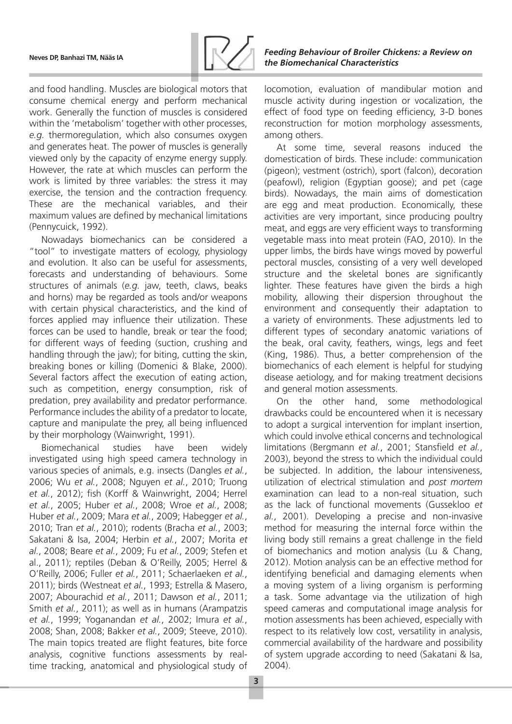

and food handling. Muscles are biological motors that consume chemical energy and perform mechanical work. Generally the function of muscles is considered within the 'metabolism' together with other processes, *e.g.* thermoregulation, which also consumes oxygen and generates heat. The power of muscles is generally viewed only by the capacity of enzyme energy supply. However, the rate at which muscles can perform the work is limited by three variables: the stress it may exercise, the tension and the contraction frequency. These are the mechanical variables, and their maximum values are defined by mechanical limitations (Pennycuick, 1992).

Nowadays biomechanics can be considered a "tool" to investigate matters of ecology, physiology and evolution. It also can be useful for assessments, forecasts and understanding of behaviours. Some structures of animals (*e.g.* jaw, teeth, claws, beaks and horns) may be regarded as tools and/or weapons with certain physical characteristics, and the kind of forces applied may influence their utilization. These forces can be used to handle, break or tear the food; for different ways of feeding (suction, crushing and handling through the jaw); for biting, cutting the skin, breaking bones or killing (Domenici & Blake, 2000). Several factors affect the execution of eating action, such as competition, energy consumption, risk of predation, prey availability and predator performance. Performance includes the ability of a predator to locate, capture and manipulate the prey, all being influenced by their morphology (Wainwright, 1991).

Biomechanical studies have been widely investigated using high speed camera technology in various species of animals, e.g. insects (Dangles *et al.*, 2006; Wu *et al.*, 2008; Nguyen *et al.*, 2010; Truong *et al.*, 2012); fish (Korff & Wainwright, 2004; Herrel *et al.*, 2005; Huber *et al.*, 2008; Wroe *et al.*, 2008; Huber *et al.*, 2009; Mara *et al.*, 2009; Habegger *et al.*, 2010; Tran *et al.*, 2010); rodents (Bracha *et al.*, 2003; Sakatani & Isa, 2004; Herbin *et al.*, 2007; Morita *et al.*, 2008; Beare *et al.*, 2009; Fu *et al.*, 2009; Stefen et al., 2011); reptiles (Deban & O'Reilly, 2005; Herrel & O'Reilly, 2006; Fuller *et al.*, 2011; Schaerlaeken *et al.*, 2011); birds (Westneat *et al.*, 1993; Estrella & Masero, 2007; Abourachid *et al.*, 2011; Dawson *et al.*, 2011; Smith *et al.*, 2011); as well as in humans (Arampatzis *et al.*, 1999; Yoganandan *et al.*, 2002; Imura *et al.*, 2008; Shan, 2008; Bakker *et al.*, 2009; Steeve, 2010). The main topics treated are flight features, bite force analysis, cognitive functions assessments by realtime tracking, anatomical and physiological study of

## **Neves DP, Banhazi TM, Nääs IA** *Feeding Behaviour of Broiler Chickens: a Review on the Biomechanical Characteristics*

locomotion, evaluation of mandibular motion and muscle activity during ingestion or vocalization, the effect of food type on feeding efficiency, 3-D bones reconstruction for motion morphology assessments, among others.

At some time, several reasons induced the domestication of birds. These include: communication (pigeon); vestment (ostrich), sport (falcon), decoration (peafowl), religion (Egyptian goose); and pet (cage birds). Nowadays, the main aims of domestication are egg and meat production. Economically, these activities are very important, since producing poultry meat, and eggs are very efficient ways to transforming vegetable mass into meat protein (FAO, 2010). In the upper limbs, the birds have wings moved by powerful pectoral muscles, consisting of a very well developed structure and the skeletal bones are significantly lighter. These features have given the birds a high mobility, allowing their dispersion throughout the environment and consequently their adaptation to a variety of environments. These adjustments led to different types of secondary anatomic variations of the beak, oral cavity, feathers, wings, legs and feet (King, 1986). Thus, a better comprehension of the biomechanics of each element is helpful for studying disease aetiology, and for making treatment decisions and general motion assessments.

On the other hand, some methodological drawbacks could be encountered when it is necessary to adopt a surgical intervention for implant insertion, which could involve ethical concerns and technological limitations (Bergmann *et al.*, 2001; Stansfield *et al.*, 2003), beyond the stress to which the individual could be subjected. In addition, the labour intensiveness, utilization of electrical stimulation and *post mortem* examination can lead to a non-real situation, such as the lack of functional movements (Gussekloo *et al.*, 2001). Developing a precise and non-invasive method for measuring the internal force within the living body still remains a great challenge in the field of biomechanics and motion analysis (Lu & Chang, 2012). Motion analysis can be an effective method for identifying beneficial and damaging elements when a moving system of a living organism is performing a task. Some advantage via the utilization of high speed cameras and computational image analysis for motion assessments has been achieved, especially with respect to its relatively low cost, versatility in analysis, commercial availability of the hardware and possibility of system upgrade according to need (Sakatani & Isa, 2004).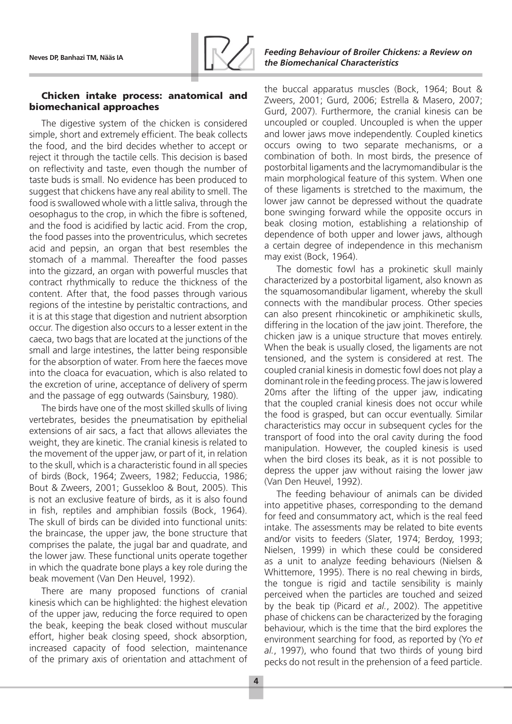

## Chicken intake process: anatomical and biomechanical approaches

The digestive system of the chicken is considered simple, short and extremely efficient. The beak collects the food, and the bird decides whether to accept or reject it through the tactile cells. This decision is based on reflectivity and taste, even though the number of taste buds is small. No evidence has been produced to suggest that chickens have any real ability to smell. The food is swallowed whole with a little saliva, through the oesophagus to the crop, in which the fibre is softened, and the food is acidified by lactic acid. From the crop, the food passes into the proventriculus, which secretes acid and pepsin, an organ that best resembles the stomach of a mammal. Thereafter the food passes into the gizzard, an organ with powerful muscles that contract rhythmically to reduce the thickness of the content. After that, the food passes through various regions of the intestine by peristaltic contractions, and it is at this stage that digestion and nutrient absorption occur. The digestion also occurs to a lesser extent in the caeca, two bags that are located at the junctions of the small and large intestines, the latter being responsible for the absorption of water. From here the faeces move into the cloaca for evacuation, which is also related to the excretion of urine, acceptance of delivery of sperm and the passage of egg outwards (Sainsbury, 1980).

The birds have one of the most skilled skulls of living vertebrates, besides the pneumatisation by epithelial extensions of air sacs, a fact that allows alleviates the weight, they are kinetic. The cranial kinesis is related to the movement of the upper jaw, or part of it, in relation to the skull, which is a characteristic found in all species of birds (Bock, 1964; Zweers, 1982; Feduccia, 1986; Bout & Zweers, 2001; Gussekloo & Bout, 2005). This is not an exclusive feature of birds, as it is also found in fish, reptiles and amphibian fossils (Bock, 1964). The skull of birds can be divided into functional units: the braincase, the upper jaw, the bone structure that comprises the palate, the jugal bar and quadrate, and the lower jaw. These functional units operate together in which the quadrate bone plays a key role during the beak movement (Van Den Heuvel, 1992).

There are many proposed functions of cranial kinesis which can be highlighted: the highest elevation of the upper jaw, reducing the force required to open the beak, keeping the beak closed without muscular effort, higher beak closing speed, shock absorption, increased capacity of food selection, maintenance of the primary axis of orientation and attachment of

the buccal apparatus muscles (Bock, 1964; Bout & Zweers, 2001; Gurd, 2006; Estrella & Masero, 2007; Gurd, 2007). Furthermore, the cranial kinesis can be uncoupled or coupled. Uncoupled is when the upper and lower jaws move independently. Coupled kinetics occurs owing to two separate mechanisms, or a combination of both. In most birds, the presence of postorbital ligaments and the lacrymomandibular is the main morphological feature of this system. When one of these ligaments is stretched to the maximum, the lower jaw cannot be depressed without the quadrate bone swinging forward while the opposite occurs in beak closing motion, establishing a relationship of dependence of both upper and lower jaws, although a certain degree of independence in this mechanism may exist (Bock, 1964).

The domestic fowl has a prokinetic skull mainly characterized by a postorbital ligament, also known as the squamosomandibular ligament, whereby the skull connects with the mandibular process. Other species can also present rhincokinetic or amphikinetic skulls, differing in the location of the jaw joint. Therefore, the chicken jaw is a unique structure that moves entirely. When the beak is usually closed, the ligaments are not tensioned, and the system is considered at rest. The coupled cranial kinesis in domestic fowl does not play a dominant role in the feeding process. The jaw is lowered 20ms after the lifting of the upper jaw, indicating that the coupled cranial kinesis does not occur while the food is grasped, but can occur eventually. Similar characteristics may occur in subsequent cycles for the transport of food into the oral cavity during the food manipulation. However, the coupled kinesis is used when the bird closes its beak, as it is not possible to depress the upper jaw without raising the lower jaw (Van Den Heuvel, 1992).

The feeding behaviour of animals can be divided into appetitive phases, corresponding to the demand for feed and consummatory act, which is the real feed intake. The assessments may be related to bite events and/or visits to feeders (Slater, 1974; Berdoy, 1993; Nielsen, 1999) in which these could be considered as a unit to analyze feeding behaviours (Nielsen & Whittemore, 1995). There is no real chewing in birds, the tongue is rigid and tactile sensibility is mainly perceived when the particles are touched and seized by the beak tip (Picard *et al.*, 2002). The appetitive phase of chickens can be characterized by the foraging behaviour, which is the time that the bird explores the environment searching for food, as reported by (Yo *et al.*, 1997), who found that two thirds of young bird pecks do not result in the prehension of a feed particle.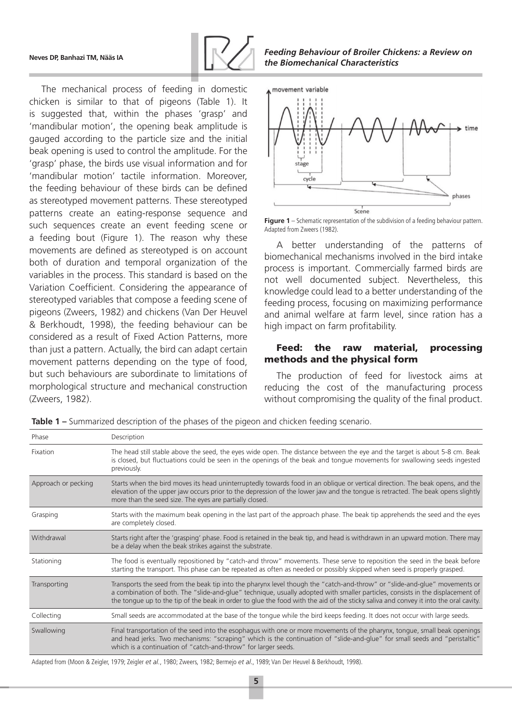

The mechanical process of feeding in domestic chicken is similar to that of pigeons (Table 1). It is suggested that, within the phases 'grasp' and 'mandibular motion', the opening beak amplitude is gauged according to the particle size and the initial beak opening is used to control the amplitude. For the 'grasp' phase, the birds use visual information and for 'mandibular motion' tactile information. Moreover, the feeding behaviour of these birds can be defined as stereotyped movement patterns. These stereotyped patterns create an eating-response sequence and such sequences create an event feeding scene or a feeding bout (Figure 1). The reason why these movements are defined as stereotyped is on account both of duration and temporal organization of the variables in the process. This standard is based on the Variation Coefficient. Considering the appearance of stereotyped variables that compose a feeding scene of pigeons (Zweers, 1982) and chickens (Van Der Heuvel & Berkhoudt, 1998), the feeding behaviour can be considered as a result of Fixed Action Patterns, more than just a pattern. Actually, the bird can adapt certain movement patterns depending on the type of food, but such behaviours are subordinate to limitations of morphological structure and mechanical construction (Zweers, 1982).

**Neves DP, Banhazi TM, Nääs IA** *Feeding Behaviour of Broiler Chickens: a Review on the Biomechanical Characteristics*



**Figure 1** – Schematic representation of the subdivision of a feeding behaviour pattern. Adapted from Zweers (1982).

A better understanding of the patterns of biomechanical mechanisms involved in the bird intake process is important. Commercially farmed birds are not well documented subject. Nevertheless, this knowledge could lead to a better understanding of the feeding process, focusing on maximizing performance and animal welfare at farm level, since ration has a high impact on farm profitability.

### Feed: the raw material, processing methods and the physical form

The production of feed for livestock aims at reducing the cost of the manufacturing process without compromising the quality of the final product.

**Table 1 –** Summarized description of the phases of the pigeon and chicken feeding scenario.

| Phase               | Description                                                                                                                                                                                                                                                                                                                                                                                          |
|---------------------|------------------------------------------------------------------------------------------------------------------------------------------------------------------------------------------------------------------------------------------------------------------------------------------------------------------------------------------------------------------------------------------------------|
| Fixation            | The head still stable above the seed, the eyes wide open. The distance between the eye and the target is about 5-8 cm. Beak<br>is closed, but fluctuations could be seen in the openings of the beak and tongue movements for swallowing seeds ingested<br>previously.                                                                                                                               |
| Approach or pecking | Starts when the bird moves its head uninterruptedly towards food in an oblique or vertical direction. The beak opens, and the<br>elevation of the upper jaw occurs prior to the depression of the lower jaw and the tongue is retracted. The beak opens slightly<br>more than the seed size. The eyes are partially closed.                                                                          |
| Grasping            | Starts with the maximum beak opening in the last part of the approach phase. The beak tip apprehends the seed and the eyes<br>are completely closed.                                                                                                                                                                                                                                                 |
| Withdrawal          | Starts right after the 'grasping' phase. Food is retained in the beak tip, and head is withdrawn in an upward motion. There may<br>be a delay when the beak strikes against the substrate.                                                                                                                                                                                                           |
| Stationing          | The food is eventually repositioned by "catch-and throw" movements. These serve to reposition the seed in the beak before<br>starting the transport. This phase can be repeated as often as needed or possibly skipped when seed is properly grasped.                                                                                                                                                |
| Transporting        | Transports the seed from the beak tip into the pharynx level though the "catch-and-throw" or "slide-and-glue" movements or<br>a combination of both. The "slide-and-glue" technique, usually adopted with smaller particles, consists in the displacement of<br>the tongue up to the tip of the beak in order to glue the food with the aid of the sticky saliva and convey it into the oral cavity. |
| Collecting          | Small seeds are accommodated at the base of the tongue while the bird keeps feeding. It does not occur with large seeds.                                                                                                                                                                                                                                                                             |
| Swallowing          | Final transportation of the seed into the esophagus with one or more movements of the pharynx, tongue, small beak openings<br>and head jerks. Two mechanisms: "scraping" which is the continuation of "slide-and-glue" for small seeds and "peristaltic"<br>which is a continuation of "catch-and-throw" for larger seeds.                                                                           |

Adapted from (Moon & Zeigler, 1979; Zeigler *et al.*, 1980; Zweers, 1982; Bermejo *et al*., 1989; Van Der Heuvel & Berkhoudt, 1998).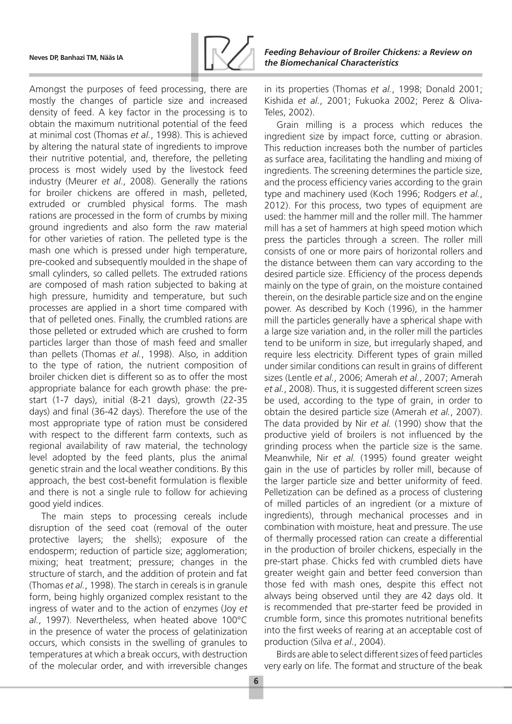

Amongst the purposes of feed processing, there are mostly the changes of particle size and increased density of feed. A key factor in the processing is to obtain the maximum nutritional potential of the feed at minimal cost (Thomas *et al.*, 1998). This is achieved by altering the natural state of ingredients to improve their nutritive potential, and, therefore, the pelleting process is most widely used by the livestock feed industry (Meurer *et al*., 2008). Generally the rations for broiler chickens are offered in mash, pelleted, extruded or crumbled physical forms. The mash rations are processed in the form of crumbs by mixing ground ingredients and also form the raw material for other varieties of ration. The pelleted type is the mash one which is pressed under high temperature, pre-cooked and subsequently moulded in the shape of small cylinders, so called pellets. The extruded rations are composed of mash ration subjected to baking at high pressure, humidity and temperature, but such processes are applied in a short time compared with that of pelleted ones. Finally, the crumbled rations are those pelleted or extruded which are crushed to form particles larger than those of mash feed and smaller than pellets (Thomas *et al.*, 1998). Also, in addition to the type of ration, the nutrient composition of broiler chicken diet is different so as to offer the most appropriate balance for each growth phase: the prestart (1-7 days), initial (8-21 days), growth (22-35 days) and final (36-42 days). Therefore the use of the most appropriate type of ration must be considered with respect to the different farm contexts, such as regional availability of raw material, the technology level adopted by the feed plants, plus the animal genetic strain and the local weather conditions. By this approach, the best cost-benefit formulation is flexible and there is not a single rule to follow for achieving good yield indices.

The main steps to processing cereals include disruption of the seed coat (removal of the outer protective layers; the shells); exposure of the endosperm; reduction of particle size; agglomeration; mixing; heat treatment; pressure; changes in the structure of starch, and the addition of protein and fat (Thomas *et al.*, 1998). The starch in cereals is in granule form, being highly organized complex resistant to the ingress of water and to the action of enzymes (Joy *et al.*, 1997). Nevertheless, when heated above 100°C in the presence of water the process of gelatinization occurs, which consists in the swelling of granules to temperatures at which a break occurs, with destruction of the molecular order, and with irreversible changes

in its properties (Thomas *et al.*, 1998; Donald 2001; Kishida *et al.*, 2001; Fukuoka 2002; Perez & Oliva-Teles, 2002).

Grain milling is a process which reduces the ingredient size by impact force, cutting or abrasion. This reduction increases both the number of particles as surface area, facilitating the handling and mixing of ingredients. The screening determines the particle size, and the process efficiency varies according to the grain type and machinery used (Koch 1996; Rodgers *et al.*, 2012). For this process, two types of equipment are used: the hammer mill and the roller mill. The hammer mill has a set of hammers at high speed motion which press the particles through a screen. The roller mill consists of one or more pairs of horizontal rollers and the distance between them can vary according to the desired particle size. Efficiency of the process depends mainly on the type of grain, on the moisture contained therein, on the desirable particle size and on the engine power. As described by Koch (1996), in the hammer mill the particles generally have a spherical shape with a large size variation and, in the roller mill the particles tend to be uniform in size, but irregularly shaped, and require less electricity. Different types of grain milled under similar conditions can result in grains of different sizes (Lentle *et al.*, 2006; Amerah *et al.*, 2007; Amerah *et al.*, 2008). Thus, it is suggested different screen sizes be used, according to the type of grain, in order to obtain the desired particle size (Amerah *et al.*, 2007). The data provided by Nir *et al.* (1990) show that the productive yield of broilers is not influenced by the grinding process when the particle size is the same. Meanwhile, Nir *et al.* (1995) found greater weight gain in the use of particles by roller mill, because of the larger particle size and better uniformity of feed. Pelletization can be defined as a process of clustering of milled particles of an ingredient (or a mixture of ingredients), through mechanical processes and in combination with moisture, heat and pressure. The use of thermally processed ration can create a differential in the production of broiler chickens, especially in the pre-start phase. Chicks fed with crumbled diets have greater weight gain and better feed conversion than those fed with mash ones, despite this effect not always being observed until they are 42 days old. It is recommended that pre-starter feed be provided in crumble form, since this promotes nutritional benefits into the first weeks of rearing at an acceptable cost of production (Silva *et al*., 2004).

Birds are able to select different sizes of feed particles very early on life. The format and structure of the beak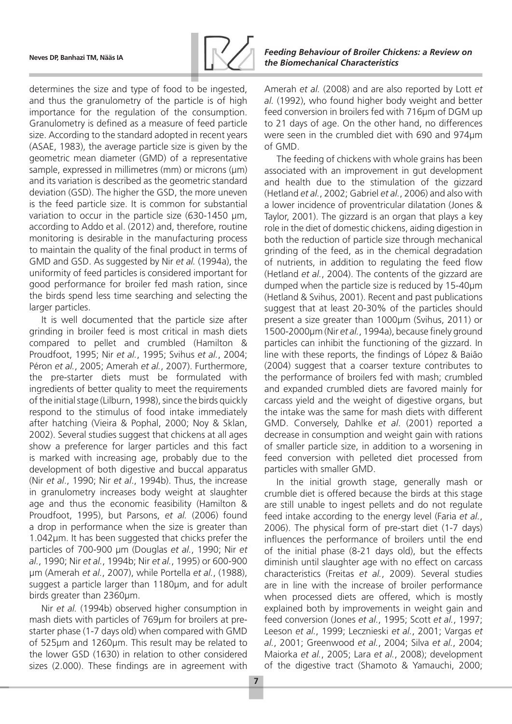

**Neves DP, Banhazi TM, Nääs IA** *Feeding Behaviour of Broiler Chickens: a Review on the Biomechanical Characteristics*

determines the size and type of food to be ingested, and thus the granulometry of the particle is of high importance for the regulation of the consumption. Granulometry is defined as a measure of feed particle size. According to the standard adopted in recent years (ASAE, 1983), the average particle size is given by the geometric mean diameter (GMD) of a representative sample, expressed in millimetres (mm) or microns (µm) and its variation is described as the geometric standard deviation (GSD). The higher the GSD, the more uneven is the feed particle size. It is common for substantial variation to occur in the particle size (630-1450 µm, according to Addo et al. (2012) and, therefore, routine monitoring is desirable in the manufacturing process to maintain the quality of the final product in terms of GMD and GSD. As suggested by Nir *et al.* (1994a), the uniformity of feed particles is considered important for good performance for broiler fed mash ration, since the birds spend less time searching and selecting the larger particles.

It is well documented that the particle size after grinding in broiler feed is most critical in mash diets compared to pellet and crumbled (Hamilton & Proudfoot, 1995; Nir *et al.*, 1995; Svihus *et al.*, 2004; Péron *et al.*, 2005; Amerah *et al.*, 2007). Furthermore, the pre-starter diets must be formulated with ingredients of better quality to meet the requirements of the initial stage (Lilburn, 1998), since the birds quickly respond to the stimulus of food intake immediately after hatching (Vieira & Pophal, 2000; Noy & Sklan, 2002). Several studies suggest that chickens at all ages show a preference for larger particles and this fact is marked with increasing age, probably due to the development of both digestive and buccal apparatus (Nir *et al*., 1990; Nir *et al*., 1994b). Thus, the increase in granulometry increases body weight at slaughter age and thus the economic feasibility (Hamilton & Proudfoot, 1995), but Parsons, *et al.* (2006) found a drop in performance when the size is greater than 1.042μm. It has been suggested that chicks prefer the particles of 700-900 μm (Douglas *et al.*, 1990; Nir *et al.*, 1990; Nir *et al.*, 1994b; Nir *et al.*, 1995) or 600-900 μm (Amerah *et al.*, 2007), while Portella *et al.*, (1988), suggest a particle larger than 1180µm, and for adult birds greater than 2360µm.

Nir *et al.* (1994b) observed higher consumption in mash diets with particles of 769μm for broilers at prestarter phase (1-7 days old) when compared with GMD of 525µm and 1260µm. This result may be related to the lower GSD (1630) in relation to other considered sizes (2.000). These findings are in agreement with

Amerah *et al.* (2008) and are also reported by Lott *et al.* (1992), who found higher body weight and better feed conversion in broilers fed with 716μm of DGM up to 21 days of age. On the other hand, no differences were seen in the crumbled diet with 690 and 974μm of GMD.

The feeding of chickens with whole grains has been associated with an improvement in gut development and health due to the stimulation of the gizzard (Hetland *et al.*, 2002; Gabriel *et al.*, 2006) and also with a lower incidence of proventricular dilatation (Jones & Taylor, 2001). The gizzard is an organ that plays a key role in the diet of domestic chickens, aiding digestion in both the reduction of particle size through mechanical grinding of the feed, as in the chemical degradation of nutrients, in addition to regulating the feed flow (Hetland *et al.*, 2004). The contents of the gizzard are dumped when the particle size is reduced by 15-40μm (Hetland & Svihus, 2001). Recent and past publications suggest that at least 20-30% of the particles should present a size greater than 1000μm (Svihus, 2011) or 1500-2000μm (Nir *et al.*, 1994a), because finely ground particles can inhibit the functioning of the gizzard. In line with these reports, the findings of López & Baião (2004) suggest that a coarser texture contributes to the performance of broilers fed with mash; crumbled and expanded crumbled diets are favored mainly for carcass yield and the weight of digestive organs, but the intake was the same for mash diets with different GMD. Conversely, Dahlke *et al*. (2001) reported a decrease in consumption and weight gain with rations of smaller particle size, in addition to a worsening in feed conversion with pelleted diet processed from particles with smaller GMD.

In the initial growth stage, generally mash or crumble diet is offered because the birds at this stage are still unable to ingest pellets and do not regulate feed intake according to the energy level (Faria *et al.*, 2006). The physical form of pre-start diet (1-7 days) influences the performance of broilers until the end of the initial phase (8-21 days old), but the effects diminish until slaughter age with no effect on carcass characteristics (Freitas *et al.*, 2009). Several studies are in line with the increase of broiler performance when processed diets are offered, which is mostly explained both by improvements in weight gain and feed conversion (Jones *et al.*, 1995; Scott *et al.*, 1997; Leeson *et al.*, 1999; Lecznieski *et al.*, 2001; Vargas *et al.*, 2001; Greenwood *et al.*, 2004; Silva *et al.*, 2004; Maiorka *et al.*, 2005; Lara *et al.*, 2008); development of the digestive tract (Shamoto & Yamauchi, 2000;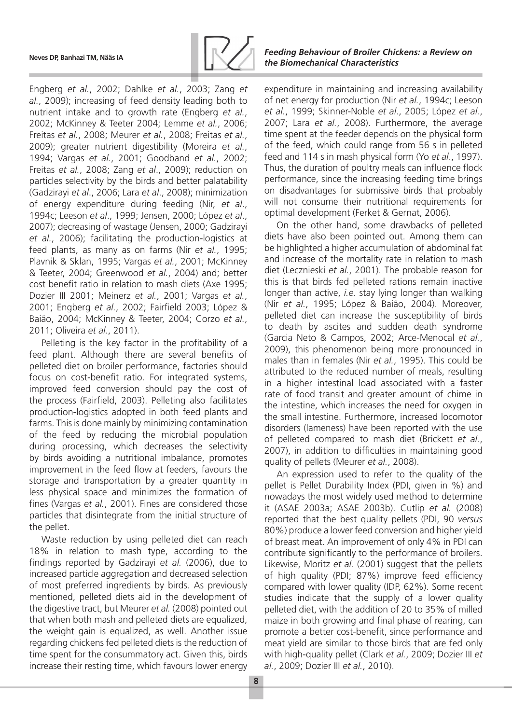

Engberg *et al.*, 2002; Dahlke *et al.*, 2003; Zang *et al.*, 2009); increasing of feed density leading both to nutrient intake and to growth rate (Engberg *et al.*, 2002; McKinney & Teeter 2004; Lemme *et al.*, 2006; Freitas *et al.*, 2008; Meurer *et al.*, 2008; Freitas *et al.*, 2009); greater nutrient digestibility (Moreira *et al.*, 1994; Vargas *et al.*, 2001; Goodband *et al.*, 2002; Freitas *et al.*, 2008; Zang *et al*., 2009); reduction on particles selectivity by the birds and better palatability (Gadzirayi *et al*., 2006; Lara *et al*., 2008); minimization of energy expenditure during feeding (Nir, *et al*., 1994c; Leeson *et al*., 1999; Jensen, 2000; López *et al*., 2007); decreasing of wastage (Jensen, 2000; Gadzirayi *et al.*, 2006); facilitating the production-logistics at feed plants, as many as on farms (Nir *et al.*, 1995; Plavnik & Sklan, 1995; Vargas *et al.*, 2001; McKinney & Teeter, 2004; Greenwood *et al.*, 2004) and; better cost benefit ratio in relation to mash diets (Axe 1995; Dozier III 2001; Meinerz *et al.*, 2001; Vargas *et al.*, 2001; Engberg *et al.*, 2002; Fairfield 2003; López & Baião, 2004; McKinney & Teeter, 2004; Corzo *et al.*, 2011; Oliveira *et al.*, 2011).

Pelleting is the key factor in the profitability of a feed plant. Although there are several benefits of pelleted diet on broiler performance, factories should focus on cost-benefit ratio. For integrated systems, improved feed conversion should pay the cost of the process (Fairfield, 2003). Pelleting also facilitates production-logistics adopted in both feed plants and farms. This is done mainly by minimizing contamination of the feed by reducing the microbial population during processing, which decreases the selectivity by birds avoiding a nutritional imbalance, promotes improvement in the feed flow at feeders, favours the storage and transportation by a greater quantity in less physical space and minimizes the formation of fines (Vargas *et al.*, 2001). Fines are considered those particles that disintegrate from the initial structure of the pellet.

Waste reduction by using pelleted diet can reach 18% in relation to mash type, according to the findings reported by Gadzirayi *et al.* (2006), due to increased particle aggregation and decreased selection of most preferred ingredients by birds. As previously mentioned, pelleted diets aid in the development of the digestive tract, but Meurer *et al.* (2008) pointed out that when both mash and pelleted diets are equalized, the weight gain is equalized, as well. Another issue regarding chickens fed pelleted diets is the reduction of time spent for the consummatory act. Given this, birds increase their resting time, which favours lower energy

## **Neves DP, Banhazi TM, Nääs IA** *Feeding Behaviour of Broiler Chickens: a Review on the Biomechanical Characteristics*

expenditure in maintaining and increasing availability of net energy for production (Nir *et al.*, 1994c; Leeson *et al.*, 1999; Skinner-Noble *et al*., 2005; López *et al.*, 2007; Lara *et al.*, 2008). Furthermore, the average time spent at the feeder depends on the physical form of the feed, which could range from 56 s in pelleted feed and 114 s in mash physical form (Yo *et al*., 1997). Thus, the duration of poultry meals can influence flock performance, since the increasing feeding time brings on disadvantages for submissive birds that probably will not consume their nutritional requirements for optimal development (Ferket & Gernat, 2006).

On the other hand, some drawbacks of pelleted diets have also been pointed out. Among them can be highlighted a higher accumulation of abdominal fat and increase of the mortality rate in relation to mash diet (Lecznieski *et al.*, 2001). The probable reason for this is that birds fed pelleted rations remain inactive longer than active, *i.e.* stay lying longer than walking (Nir *et al.*, 1995; López & Baião, 2004). Moreover, pelleted diet can increase the susceptibility of birds to death by ascites and sudden death syndrome (Garcia Neto & Campos, 2002; Arce-Menocal *et al.*, 2009), this phenomenon being more pronounced in males than in females (Nir *et al.*, 1995). This could be attributed to the reduced number of meals, resulting in a higher intestinal load associated with a faster rate of food transit and greater amount of chime in the intestine, which increases the need for oxygen in the small intestine. Furthermore, increased locomotor disorders (lameness) have been reported with the use of pelleted compared to mash diet (Brickett *et al.*, 2007), in addition to difficulties in maintaining good quality of pellets (Meurer *et al.*, 2008).

An expression used to refer to the quality of the pellet is Pellet Durability Index (PDI, given in %) and nowadays the most widely used method to determine it (ASAE 2003a; ASAE 2003b). Cutlip *et al.* (2008) reported that the best quality pellets (PDI, 90 *versus*  80%) produce a lower feed conversion and higher yield of breast meat. An improvement of only 4% in PDI can contribute significantly to the performance of broilers. Likewise, Moritz *et al.* (2001) suggest that the pellets of high quality (PDI; 87%) improve feed efficiency compared with lower quality (IDP, 62%). Some recent studies indicate that the supply of a lower quality pelleted diet, with the addition of 20 to 35% of milled maize in both growing and final phase of rearing, can promote a better cost-benefit, since performance and meat yield are similar to those birds that are fed only with high-quality pellet (Clark *et al.*, 2009; Dozier III *et al.*, 2009; Dozier III *et al.*, 2010).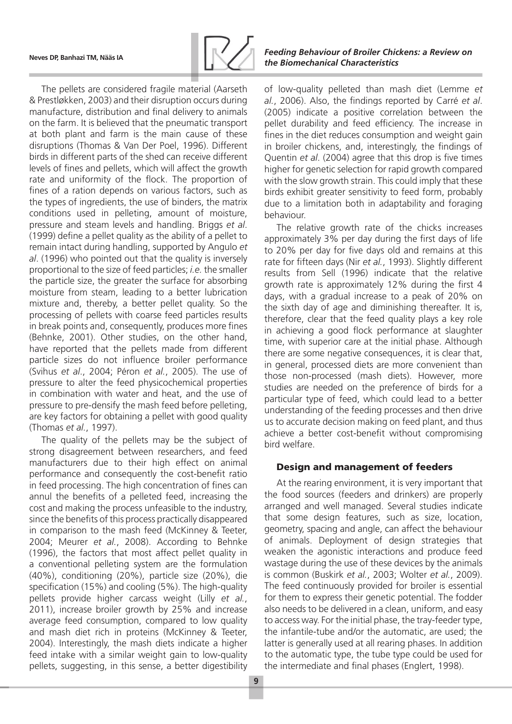

The pellets are considered fragile material (Aarseth & Prestløkken, 2003) and their disruption occurs during manufacture, distribution and final delivery to animals on the farm. It is believed that the pneumatic transport at both plant and farm is the main cause of these disruptions (Thomas & Van Der Poel, 1996). Different birds in different parts of the shed can receive different levels of fines and pellets, which will affect the growth rate and uniformity of the flock. The proportion of fines of a ration depends on various factors, such as the types of ingredients, the use of binders, the matrix conditions used in pelleting, amount of moisture, pressure and steam levels and handling. Briggs *et al*. (1999) define a pellet quality as the ability of a pellet to remain intact during handling, supported by Angulo *et al*. (1996) who pointed out that the quality is inversely proportional to the size of feed particles; *i.e.* the smaller the particle size, the greater the surface for absorbing moisture from steam, leading to a better lubrication mixture and, thereby, a better pellet quality. So the processing of pellets with coarse feed particles results in break points and, consequently, produces more fines (Behnke, 2001). Other studies, on the other hand, have reported that the pellets made from different particle sizes do not influence broiler performance (Svihus *et al*., 2004; Péron *et al.*, 2005). The use of pressure to alter the feed physicochemical properties in combination with water and heat, and the use of pressure to pre-densify the mash feed before pelleting, are key factors for obtaining a pellet with good quality (Thomas *et al.*, 1997).

The quality of the pellets may be the subject of strong disagreement between researchers, and feed manufacturers due to their high effect on animal performance and consequently the cost-benefit ratio in feed processing. The high concentration of fines can annul the benefits of a pelleted feed, increasing the cost and making the process unfeasible to the industry, since the benefits of this process practically disappeared in comparison to the mash feed (McKinney & Teeter, 2004; Meurer *et al.*, 2008). According to Behnke (1996), the factors that most affect pellet quality in a conventional pelleting system are the formulation (40%), conditioning (20%), particle size (20%), die specification (15%) and cooling (5%). The high-quality pellets provide higher carcass weight (Lilly *et al.*, 2011), increase broiler growth by 25% and increase average feed consumption, compared to low quality and mash diet rich in proteins (McKinney & Teeter, 2004). Interestingly, the mash diets indicate a higher feed intake with a similar weight gain to low-quality pellets, suggesting, in this sense, a better digestibility

## **Neves DP, Banhazi TM, Nääs IA** *Feeding Behaviour of Broiler Chickens: a Review on the Biomechanical Characteristics*

of low-quality pelleted than mash diet (Lemme *et al.*, 2006). Also, the findings reported by Carré *et al*. (2005) indicate a positive correlation between the pellet durability and feed efficiency. The increase in fines in the diet reduces consumption and weight gain in broiler chickens, and, interestingly, the findings of Quentin *et al*. (2004) agree that this drop is five times higher for genetic selection for rapid growth compared with the slow growth strain. This could imply that these birds exhibit greater sensitivity to feed form, probably due to a limitation both in adaptability and foraging behaviour.

The relative growth rate of the chicks increases approximately 3% per day during the first days of life to 20% per day for five days old and remains at this rate for fifteen days (Nir *et al.*, 1993). Slightly different results from Sell (1996) indicate that the relative growth rate is approximately 12% during the first 4 days, with a gradual increase to a peak of 20% on the sixth day of age and diminishing thereafter. It is, therefore, clear that the feed quality plays a key role in achieving a good flock performance at slaughter time, with superior care at the initial phase. Although there are some negative consequences, it is clear that, in general, processed diets are more convenient than those non-processed (mash diets). However, more studies are needed on the preference of birds for a particular type of feed, which could lead to a better understanding of the feeding processes and then drive us to accurate decision making on feed plant, and thus achieve a better cost-benefit without compromising bird welfare.

## Design and management of feeders

At the rearing environment, it is very important that the food sources (feeders and drinkers) are properly arranged and well managed. Several studies indicate that some design features, such as size, location, geometry, spacing and angle, can affect the behaviour of animals. Deployment of design strategies that weaken the agonistic interactions and produce feed wastage during the use of these devices by the animals is common (Buskirk *et al.*, 2003; Wolter *et al.*, 2009). The feed continuously provided for broiler is essential for them to express their genetic potential. The fodder also needs to be delivered in a clean, uniform, and easy to access way. For the initial phase, the tray-feeder type, the infantile-tube and/or the automatic, are used; the latter is generally used at all rearing phases. In addition to the automatic type, the tube type could be used for the intermediate and final phases (Englert, 1998).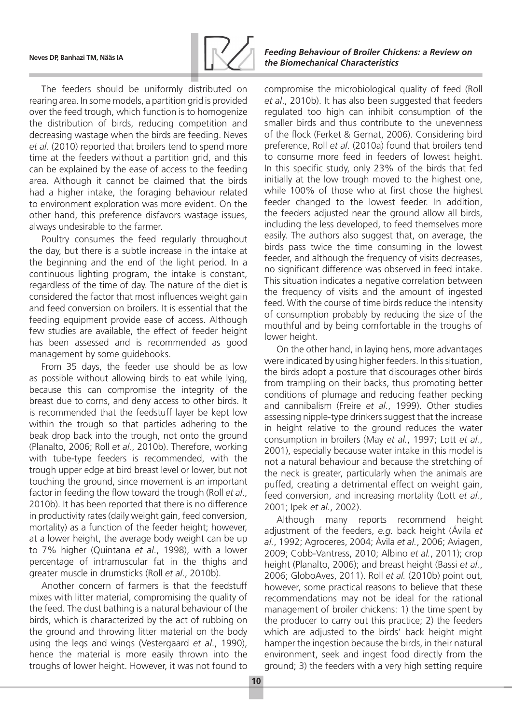

The feeders should be uniformly distributed on rearing area. In some models, a partition grid is provided over the feed trough, which function is to homogenize the distribution of birds, reducing competition and decreasing wastage when the birds are feeding. Neves *et al.* (2010) reported that broilers tend to spend more time at the feeders without a partition grid, and this can be explained by the ease of access to the feeding area. Although it cannot be claimed that the birds had a higher intake, the foraging behaviour related to environment exploration was more evident. On the other hand, this preference disfavors wastage issues, always undesirable to the farmer.

Poultry consumes the feed regularly throughout the day, but there is a subtle increase in the intake at the beginning and the end of the light period. In a continuous lighting program, the intake is constant, regardless of the time of day. The nature of the diet is considered the factor that most influences weight gain and feed conversion on broilers. It is essential that the feeding equipment provide ease of access. Although few studies are available, the effect of feeder height has been assessed and is recommended as good management by some guidebooks.

From 35 days, the feeder use should be as low as possible without allowing birds to eat while lying, because this can compromise the integrity of the breast due to corns, and deny access to other birds. It is recommended that the feedstuff layer be kept low within the trough so that particles adhering to the beak drop back into the trough, not onto the ground (Planalto, 2006; Roll *et al.*, 2010b). Therefore, working with tube-type feeders is recommended, with the trough upper edge at bird breast level or lower, but not touching the ground, since movement is an important factor in feeding the flow toward the trough (Roll *et al*., 2010b). It has been reported that there is no difference in productivity rates (daily weight gain, feed conversion, mortality) as a function of the feeder height; however, at a lower height, the average body weight can be up to 7% higher (Quintana *et al*., 1998), with a lower percentage of intramuscular fat in the thighs and greater muscle in drumsticks (Roll *et al*., 2010b).

Another concern of farmers is that the feedstuff mixes with litter material, compromising the quality of the feed. The dust bathing is a natural behaviour of the birds, which is characterized by the act of rubbing on the ground and throwing litter material on the body using the legs and wings (Vestergaard *et al*., 1990), hence the material is more easily thrown into the troughs of lower height. However, it was not found to

### **Neves DP, Banhazi TM, Nääs IA** *Feeding Behaviour of Broiler Chickens: a Review on the Biomechanical Characteristics*

compromise the microbiological quality of feed (Roll *et al*., 2010b). It has also been suggested that feeders regulated too high can inhibit consumption of the smaller birds and thus contribute to the unevenness of the flock (Ferket & Gernat, 2006). Considering bird preference, Roll *et al*. (2010a) found that broilers tend to consume more feed in feeders of lowest height. In this specific study, only 23% of the birds that fed initially at the low trough moved to the highest one, while 100% of those who at first chose the highest feeder changed to the lowest feeder. In addition, the feeders adjusted near the ground allow all birds, including the less developed, to feed themselves more easily. The authors also suggest that, on average, the birds pass twice the time consuming in the lowest feeder, and although the frequency of visits decreases, no significant difference was observed in feed intake. This situation indicates a negative correlation between the frequency of visits and the amount of ingested feed. With the course of time birds reduce the intensity of consumption probably by reducing the size of the mouthful and by being comfortable in the troughs of lower height.

On the other hand, in laying hens, more advantages were indicated by using higher feeders. In this situation, the birds adopt a posture that discourages other birds from trampling on their backs, thus promoting better conditions of plumage and reducing feather pecking and cannibalism (Freire *et al.*, 1999). Other studies assessing nipple-type drinkers suggest that the increase in height relative to the ground reduces the water consumption in broilers (May *et al.*, 1997; Lott *et al.*, 2001), especially because water intake in this model is not a natural behaviour and because the stretching of the neck is greater, particularly when the animals are puffed, creating a detrimental effect on weight gain, feed conversion, and increasing mortality (Lott *et al.*, 2001; Ipek *et al.*, 2002).

Although many reports recommend height adjustment of the feeders, *e.g.* back height (Ávila *et al.*, 1992; Agroceres, 2004; Ávila *et al.*, 2006; Aviagen, 2009; Cobb-Vantress, 2010; Albino *et al.*, 2011); crop height (Planalto, 2006); and breast height (Bassi *et al.*, 2006; GloboAves, 2011). Roll *et al.* (2010b) point out, however, some practical reasons to believe that these recommendations may not be ideal for the rational management of broiler chickens: 1) the time spent by the producer to carry out this practice; 2) the feeders which are adjusted to the birds' back height might hamper the ingestion because the birds, in their natural environment, seek and ingest food directly from the ground; 3) the feeders with a very high setting require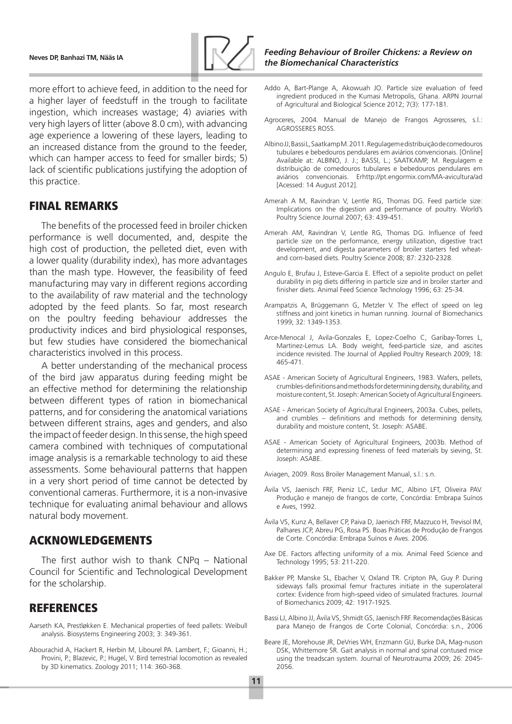

more effort to achieve feed, in addition to the need for a higher layer of feedstuff in the trough to facilitate ingestion, which increases wastage; 4) aviaries with very high layers of litter (above 8.0 cm), with advancing age experience a lowering of these layers, leading to an increased distance from the ground to the feeder, which can hamper access to feed for smaller birds; 5) lack of scientific publications justifying the adoption of this practice.

# FINAL REMARKS

The benefits of the processed feed in broiler chicken performance is well documented, and, despite the high cost of production, the pelleted diet, even with a lower quality (durability index), has more advantages than the mash type. However, the feasibility of feed manufacturing may vary in different regions according to the availability of raw material and the technology adopted by the feed plants. So far, most research on the poultry feeding behaviour addresses the productivity indices and bird physiological responses, but few studies have considered the biomechanical characteristics involved in this process.

A better understanding of the mechanical process of the bird jaw apparatus during feeding might be an effective method for determining the relationship between different types of ration in biomechanical patterns, and for considering the anatomical variations between different strains, ages and genders, and also the impact of feeder design. In this sense, the high speed camera combined with techniques of computational image analysis is a remarkable technology to aid these assessments. Some behavioural patterns that happen in a very short period of time cannot be detected by conventional cameras. Furthermore, it is a non-invasive technique for evaluating animal behaviour and allows natural body movement.

# ACKNOWLEDGEMENTS

The first author wish to thank CNPq – National Council for Scientific and Technological Development for the scholarship.

# REFERENCES

- Aarseth KA, Prestløkken E. Mechanical properties of feed pallets: Weibull analysis. Biosystems Engineering 2003; 3: 349-361.
- Abourachid A, Hackert R, Herbin M, Libourel PA. Lambert, F.; Gioanni, H.; Provini, P.; Blazevic, P.; Hugel, V. Bird terrestrial locomotion as revealed by 3D kinematics. Zoology 2011; 114: 360-368.
- Addo A, Bart-Plange A, Akowuah JO. Particle size evaluation of feed ingredient produced in the Kumasi Metropolis, Ghana. ARPN Journal of Agricultural and Biological Science 2012; 7(3): 177-181.
- Agroceres, 2004. Manual de Manejo de Frangos Agrosseres, s.l.: AGROSSERES ROSS.
- Albino JJ, Bassi L, Saatkamp M. 2011. Regulagem e distribuição de comedouros tubulares e bebedouros pendulares em aviários convencionais. [Online] Available at: ALBINO, J. J.; BASSI, L.; SAATKAMP, M. Regulagem e distribuição de comedouros tubulares e bebedouros pendulares em aviários convencionais. Erhttp://pt.engormix.com/MA-avicultura/ad [Acessed: 14 August 2012].
- Amerah A M, Ravindran V, Lentle RG, Thomas DG. Feed particle size: Implications on the digestion and performance of poultry. World's Poultry Science Journal 2007; 63: 439-451.
- Amerah AM, Ravindran V, Lentle RG, Thomas DG. Influence of feed particle size on the performance, energy utilization, digestive tract development, and digesta parameters of broiler starters fed wheatand corn-based diets. Poultry Science 2008; 87: 2320-2328.
- Angulo E, Brufau J, Esteve-Garcia E. Effect of a sepiolite product on pellet durability in pig diets differing in particle size and in broiler starter and finisher diets. Animal Feed Science Technology 1996; 63: 25-34.
- Arampatzis A, Brüggemann G, Metzler V. The effect of speed on leg stiffness and joint kinetics in human running. Journal of Biomechanics 1999; 32: 1349-1353.
- Arce-Menocal J, Avila-Gonzales E, Lopez-Coelho C, Garibay-Torres L, Martinez-Lemus LA. Body weight, feed-particle size, and ascites incidence revisited. The Journal of Applied Poultry Research 2009; 18: 465-471.
- ASAE American Society of Agricultural Engineers, 1983. Wafers, pellets, crumbles-definitions and methods for determining density, durability, and moisture content, St. Joseph: American Society of Agricultural Engineers.
- ASAE American Society of Agricultural Engineers, 2003a. Cubes, pellets, and crumbles – definitions and methods for determining density, durability and moisture content, St. Joseph: ASABE.
- ASAE American Society of Agricultural Engineers, 2003b. Method of determining and expressing fineness of feed materials by sieving, St. Joseph: ASABE.
- Aviagen, 2009. Ross Broiler Management Manual, s.l.: s.n.
- Ávila VS, Jaenisch FRF, Pieniz LC, Ledur MC, Albino LFT, Oliveira PAV. Produção e manejo de frangos de corte, Concórdia: Embrapa Suínos e Aves, 1992.
- Ávila VS, Kunz A, Bellaver CP, Paiva D, Jaenisch FRF, Mazzuco H, Trevisol IM, Palhares JCP, Abreu PG, Rosa PS. Boas Práticas de Produção de Frangos de Corte. Concórdia: Embrapa Suínos e Aves. 2006.
- Axe DE. Factors affecting uniformity of a mix. Animal Feed Science and Technology 1995; 53: 211-220.
- Bakker PP, Manske SL, Ebacher V, Oxland TR. Cripton PA, Guy P. During sideways falls proximal femur fractures initiate in the superolateral cortex: Evidence from high-speed video of simulated fractures. Journal of Biomechanics 2009; 42: 1917-1925.
- Bassi LJ, Albino JJ, Ávila VS, Shmidt GS, Jaenisch FRF. Recomendações Básicas para Manejo de Frangos de Corte Colonial, Concórdia: s.n., 2006
- Beare JE, Morehouse JR, DeVries WH, Enzmann GU, Burke DA, Mag-nuson DSK, Whittemore SR. Gait analysis in normal and spinal contused mice using the treadscan system. Journal of Neurotrauma 2009; 26: 2045- 2056.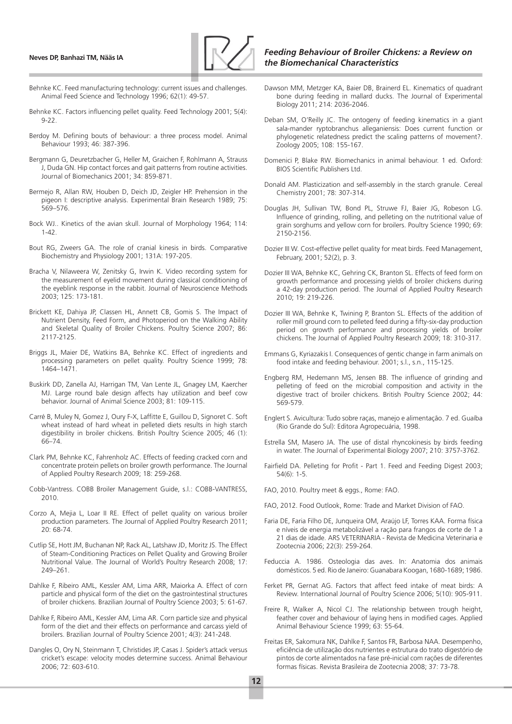

- Behnke KC. Feed manufacturing technology: current issues and challenges. Animal Feed Science and Technology 1996; 62(1): 49-57.
- Behnke KC. Factors influencing pellet quality. Feed Technology 2001; 5(4): 9-22.
- Berdoy M. Defining bouts of behaviour: a three process model. Animal Behaviour 1993; 46: 387-396.
- Bergmann G, Deuretzbacher G, Heller M, Graichen F, Rohlmann A, Strauss J, Duda GN. Hip contact forces and gait patterns from routine activities. Journal of Biomechanics 2001; 34: 859-871.
- Bermejo R, Allan RW, Houben D, Deich JD, Zeigler HP. Prehension in the pigeon I: descriptive analysis. Experimental Brain Research 1989; 75: 569–576.
- Bock WJ.. Kinetics of the avian skull. Journal of Morphology 1964; 114: 1-42.
- Bout RG, Zweers GA. The role of cranial kinesis in birds. Comparative Biochemistry and Physiology 2001; 131A: 197-205.
- Bracha V, Nilaweera W, Zenitsky G, Irwin K. Video recording system for the measurement of eyelid movement during classical conditioning of the eyeblink response in the rabbit. Journal of Neuroscience Methods 2003; 125: 173-181.
- Brickett KE, Dahiya JP, Classen HL, Annett CB, Gomis S. The Impact of Nutrient Density, Feed Form, and Photoperiod on the Walking Ability and Skeletal Quality of Broiler Chickens. Poultry Science 2007; 86: 2117-2125.
- Briggs JL, Maier DE, Watkins BA, Behnke KC. Effect of ingredients and processing parameters on pellet quality. Poultry Science 1999; 78: 1464–1471.
- Buskirk DD, Zanella AJ, Harrigan TM, Van Lente JL, Gnagey LM, Kaercher MJ. Large round bale design affects hay utilization and beef cow behavior. Journal of Animal Science 2003; 81: 109-115.
- Carré B, Muley N, Gomez J, Oury F-X, Laffitte E, Guillou D, Signoret C. Soft wheat instead of hard wheat in pelleted diets results in high starch digestibility in broiler chickens. British Poultry Science 2005; 46 (1): 66–74.
- Clark PM, Behnke KC, Fahrenholz AC. Effects of feeding cracked corn and concentrate protein pellets on broiler growth performance. The Journal of Applied Poultry Research 2009; 18: 259-268.
- Cobb-Vantress. COBB Broiler Management Guide, s.l.: COBB-VANTRESS, 2010.
- Corzo A, Mejia L, Loar II RE. Effect of pellet quality on various broiler production parameters. The Journal of Applied Poultry Research 2011; 20: 68-74.
- Cutlip SE, Hott JM, Buchanan NP, Rack AL, Latshaw JD, Moritz JS. The Effect of Steam-Conditioning Practices on Pellet Quality and Growing Broiler Nutritional Value. The Journal of World's Poultry Research 2008; 17: 249–261.
- Dahlke F, Ribeiro AML, Kessler AM, Lima ARR, Maiorka A. Effect of corn particle and physical form of the diet on the gastrointestinal structures of broiler chickens. Brazilian Journal of Poultry Science 2003; 5: 61-67.
- Dahlke F, Ribeiro AML, Kessler AM, Lima AR. Corn particle size and physical form of the diet and their effects on performance and carcass yield of broilers. Brazilian Journal of Poultry Science 2001; 4(3): 241-248.
- Dangles O, Ory N, Steinmann T, Christides JP, Casas J. Spider's attack versus cricket's escape: velocity modes determine success. Animal Behaviour 2006; 72: 603-610.
- Dawson MM, Metzger KA, Baier DB, Brainerd EL. Kinematics of quadrant bone during feeding in mallard ducks. The Journal of Experimental Biology 2011; 214: 2036-2046.
- Deban SM, O'Reilly JC. The ontogeny of feeding kinematics in a giant sala-mander ryptobranchus alleganiensis: Does current function or phylogenetic relatedness predict the scaling patterns of movement?. Zoology 2005; 108: 155-167.
- Domenici P, Blake RW. Biomechanics in animal behaviour. 1 ed. Oxford: BIOS Scientific Publishers Ltd.
- Donald AM. Plasticization and self-assembly in the starch granule. Cereal Chemistry 2001; 78: 307-314.
- Douglas JH, Sullivan TW, Bond PL, Struwe FJ, Baier JG, Robeson LG. Influence of grinding, rolling, and pelleting on the nutritional value of grain sorghums and yellow corn for broilers. Poultry Science 1990; 69: 2150-2156.
- Dozier III W. Cost-effective pellet quality for meat birds. Feed Management, February, 2001; 52(2), p. 3.
- Dozier III WA, Behnke KC, Gehring CK, Branton SL. Effects of feed form on growth performance and processing yields of broiler chickens during a 42-day production period. The Journal of Applied Poultry Research 2010; 19: 219-226.
- Dozier III WA, Behnke K, Twining P, Branton SL. Effects of the addition of roller mill ground corn to pelleted feed during a fifty-six-day production period on growth performance and processing yields of broiler chickens. The Journal of Applied Poultry Research 2009; 18: 310-317.
- Emmans G, Kyriazakis I. Consequences of gentic change in farm animals on food intake and feeding behaviour. 2001; s.l., s.n., 115-125.
- Engberg RM, Hedemann MS, Jensen BB. The influence of grinding and pelleting of feed on the microbial composition and activity in the digestive tract of broiler chickens. British Poultry Science 2002; 44: 569-579.
- Englert S. Avicultura: Tudo sobre raças, manejo e alimentação. 7 ed. Guaíba (Rio Grande do Sul): Editora Agropecuária, 1998.
- Estrella SM, Masero JA. The use of distal rhyncokinesis by birds feeding in water. The Journal of Experimental Biology 2007; 210: 3757-3762.
- Fairfield DA. Pelleting for Profit Part 1. Feed and Feeding Digest 2003; 54(6): 1-5.
- FAO, 2010. Poultry meet & eggs., Rome: FAO.
- FAO, 2012. Food Outlook, Rome: Trade and Market Division of FAO.
- Faria DE, Faria Filho DE, Junqueira OM, Araújo LF, Torres KAA. Forma física e níveis de energia metabolizável a ração para frangos de corte de 1 a 21 dias de idade. ARS VETERINARIA - Revista de Medicina Veterinaria e Zootecnia 2006; 22(3): 259-264.
- Feduccia A. 1986. Osteologia das aves. In: Anatomia dos animais domésticos. 5 ed. Rio de Janeiro: Guanabara Koogan, 1680-1689; 1986.
- Ferket PR, Gernat AG. Factors that affect feed intake of meat birds: A Review. International Journal of Poultry Science 2006; 5(10): 905-911.
- Freire R, Walker A, Nicol CJ. The relationship between trough height, feather cover and behaviour of laying hens in modified cages. Applied Animal Behaviour Science 1999; 63: 55-64.
- Freitas ER, Sakomura NK, Dahlke F, Santos FR, Barbosa NAA. Desempenho, eficiência de utilização dos nutrientes e estrutura do trato digestório de pintos de corte alimentados na fase pré-inicial com rações de diferentes formas físicas. Revista Brasileira de Zootecnia 2008; 37: 73-78.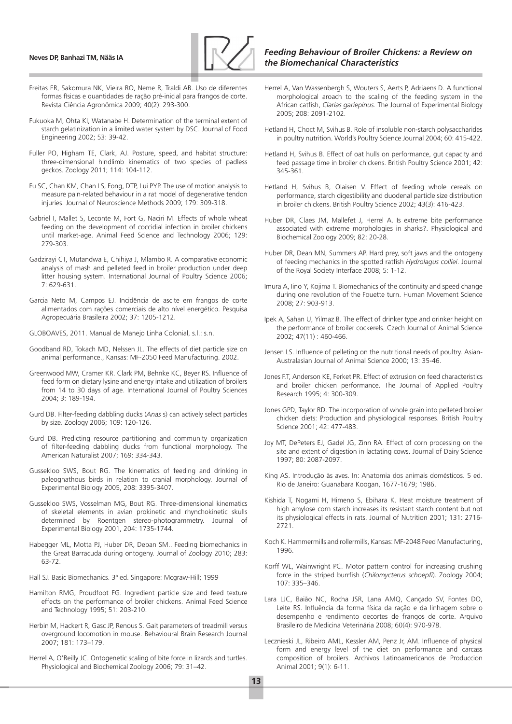

- **Neves DP, Banhazi TM, Nääs IA** *Feeding Behaviour of Broiler Chickens: a Review on the Biomechanical Characteristics*
- Freitas ER, Sakomura NK, Vieira RO, Neme R, Traldi AB. Uso de diferentes formas físicas e quantidades de ração pré-inicial para frangos de corte. Revista Ciência Agronômica 2009; 40(2): 293-300.
- Fukuoka M, Ohta KI, Watanabe H. Determination of the terminal extent of starch gelatinization in a limited water system by DSC. Journal of Food Engineering 2002; 53: 39-42.
- Fuller PO, Higham TE, Clark, AJ. Posture, speed, and habitat structure: three-dimensional hindlimb kinematics of two species of padless geckos. Zoology 2011; 114: 104-112.
- Fu SC, Chan KM, Chan LS, Fong, DTP, Lui PYP. The use of motion analysis to measure pain-related behaviour in a rat model of degenerative tendon injuries. Journal of Neuroscience Methods 2009; 179: 309-318.
- Gabriel I, Mallet S, Leconte M, Fort G, Naciri M. Effects of whole wheat feeding on the development of coccidial infection in broiler chickens until market-age. Animal Feed Science and Technology 2006; 129: 279-303.
- Gadzirayi CT, Mutandwa E, Chihiya J, Mlambo R. A comparative economic analysis of mash and pelleted feed in broiler production under deep litter housing system. International Journal of Poultry Science 2006; 7: 629-631.
- Garcia Neto M, Campos EJ. Incidência de ascite em frangos de corte alimentados com rações comerciais de alto nível energético. Pesquisa Agropecuária Brasileira 2002; 37: 1205-1212.

GLOBOAVES, 2011. Manual de Manejo Linha Colonial, s.l.: s.n.

- Goodband RD, Tokach MD, Nelssen JL. The effects of diet particle size on animal performance., Kansas: MF-2050 Feed Manufacturing. 2002.
- Greenwood MW, Cramer KR. Clark PM, Behnke KC, Beyer RS. Influence of feed form on dietary lysine and energy intake and utilization of broilers from 14 to 30 days of age. International Journal of Poultry Sciences 2004; 3: 189-194.
- Gurd DB. Filter-feeding dabbling ducks (*Anas* s) can actively select particles by size. Zoology 2006; 109: 120-126.
- Gurd DB. Predicting resource partitioning and community organization of filter-feeding dabbling ducks from functional morphology. The American Naturalist 2007; 169: 334-343.
- Gussekloo SWS, Bout RG. The kinematics of feeding and drinking in paleognathous birds in relation to cranial morphology. Journal of Experimental Biology 2005, 208: 3395-3407.
- Gussekloo SWS, Vosselman MG, Bout RG. Three-dimensional kinematics of skeletal elements in avian prokinetic and rhynchokinetic skulls determined by Roentgen stereo-photogrammetry. Journal of Experimental Biology 2001, 204: 1735-1744.
- Habegger ML, Motta PJ, Huber DR, Deban SM.. Feeding biomechanics in the Great Barracuda during ontogeny. Journal of Zoology 2010; 283: 63-72.
- Hall SJ. Basic Biomechanics. 3ª ed. Singapore: Mcgraw-Hill; 1999
- Hamilton RMG, Proudfoot FG. Ingredient particle size and feed texture effects on the performance of broiler chickens. Animal Feed Science and Technology 1995; 51: 203-210.
- Herbin M, Hackert R, Gasc JP, Renous S. Gait parameters of treadmill versus overground locomotion in mouse. Behavioural Brain Research Journal 2007; 181: 173–179.
- Herrel A, O'Reilly JC. Ontogenetic scaling of bite force in lizards and turtles. Physiological and Biochemical Zoology 2006; 79: 31–42.
- Herrel A, Van Wassenbergh S, Wouters S, Aerts P, Adriaens D. A functional morphological aroach to the scaling of the feeding system in the African catfish, *Clarias gariepinus*. The Journal of Experimental Biology 2005; 208: 2091-2102.
- Hetland H, Choct M, Svihus B. Role of insoluble non-starch polysaccharides in poultry nutrition. World's Poultry Science Journal 2004; 60: 415-422.
- Hetland H, Svihus B. Effect of oat hulls on performance, gut capacity and feed passage time in broiler chickens. British Poultry Science 2001; 42: 345-361.
- Hetland H, Svihus B, Olaisen V. Effect of feeding whole cereals on performance, starch digestibility and duodenal particle size distribution in broiler chickens. British Poultry Science 2002; 43(3): 416-423.
- Huber DR, Claes JM, Mallefet J, Herrel A. Is extreme bite performance associated with extreme morphologies in sharks?. Physiological and Biochemical Zoology 2009; 82: 20-28.
- Huber DR, Dean MN, Summers AP. Hard prey, soft jaws and the ontogeny of feeding mechanics in the spotted ratfish *Hydrolagus colliei*. Journal of the Royal Society Interface 2008; 5: 1-12.
- Imura A, Iino Y, Kojima T. Biomechanics of the continuity and speed change during one revolution of the Fouette turn. Human Movement Science 2008; 27: 903-913.
- Ipek A, Sahan U, Yilmaz B. The effect of drinker type and drinker height on the performance of broiler cockerels. Czech Journal of Animal Science 2002; 47(11) : 460-466.
- Jensen LS. Influence of pelleting on the nutritional needs of poultry. Asian-Australasian Journal of Animal Science 2000; 13: 35-46.
- Jones F.T, Anderson KE, Ferket PR. Effect of extrusion on feed characteristics and broiler chicken performance. The Journal of Applied Poultry Research 1995; 4: 300-309.
- Jones GPD, Taylor RD. The incorporation of whole grain into pelleted broiler chicken diets: Production and physiological responses. British Poultry Science 2001; 42: 477-483.
- Joy MT, DePeters EJ, Gadel JG, Zinn RA. Effect of corn processing on the site and extent of digestion in lactating cows. Journal of Dairy Science 1997; 80: 2087-2097.
- King AS. Introdução às aves. In: Anatomia dos animais domésticos. 5 ed. Rio de Janeiro: Guanabara Koogan, 1677-1679; 1986.
- Kishida T, Nogami H, Himeno S, Ebihara K. Heat moisture treatment of high amylose corn starch increases its resistant starch content but not its physiological effects in rats. Journal of Nutrition 2001; 131: 2716- 2721.
- Koch K. Hammermills and rollermills, Kansas: MF-2048 Feed Manufacturing, 1996.
- Korff WL, Wainwright PC. Motor pattern control for increasing crushing force in the striped burrfish (*Chilomycterus schoepfi*). Zoology 2004; 107: 335–346.
- Lara LJC, Baião NC, Rocha JSR, Lana AMQ, Cançado SV, Fontes DO, Leite RS. Influência da forma física da ração e da linhagem sobre o desempenho e rendimento decortes de frangos de corte. Arquivo Brasileiro de Medicina Veterinária 2008; 60(4): 970-978.
- Lecznieski JL, Ribeiro AML, Kessler AM, Penz Jr, AM. Influence of physical form and energy level of the diet on performance and carcass composition of broilers. Archivos Latinoamericanos de Produccion Animal 2001; 9(1): 6-11.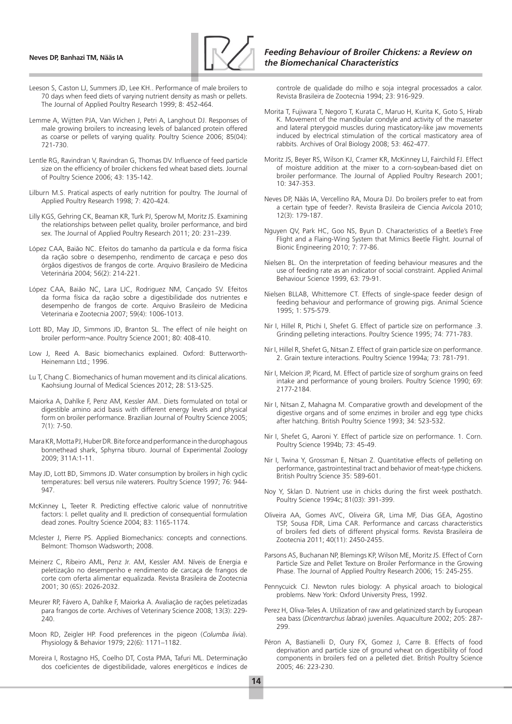

- Leeson S, Caston LJ, Summers JD, Lee KH.. Performance of male broilers to 70 days when feed diets of varying nutrient density as mash or pellets.
- Lemme A, Wijtten PJA, Van Wichen J, Petri A, Langhout DJ. Responses of male growing broilers to increasing levels of balanced protein offered as coarse or pellets of varying quality. Poultry Science 2006; 85(04): 721-730.

The Journal of Applied Poultry Research 1999; 8: 452-464.

- Lentle RG, Ravindran V, Ravindran G, Thomas DV. Influence of feed particle size on the efficiency of broiler chickens fed wheat based diets. Journal of Poultry Science 2006; 43: 135-142.
- Lilburn M.S. Pratical aspects of early nutrition for poultry. The Journal of Applied Poultry Research 1998; 7: 420-424.
- Lilly KGS, Gehring CK, Beaman KR, Turk PJ, Sperow M, Moritz JS. Examining the relationships between pellet quality, broiler performance, and bird sex. The Journal of Applied Poultry Research 2011; 20: 231–239.
- López CAA, Baião NC. Efeitos do tamanho da partícula e da forma física da ração sobre o desempenho, rendimento de carcaça e peso dos órgãos digestivos de frangos de corte. Arquivo Brasileiro de Medicina Veterinária 2004; 56(2): 214-221.
- López CAA, Baião NC, Lara LJC, Rodriguez NM, Cançado SV. Efeitos da forma física da ração sobre a digestibilidade dos nutrientes e desempenho de frangos de corte. Arquivo Brasileiro de Medicina Veterinaria e Zootecnia 2007; 59(4): 1006-1013.
- Lott BD, May JD, Simmons JD, Branton SL. The effect of nile height on broiler perform¬ance. Poultry Science 2001; 80: 408-410.
- Low J, Reed A. Basic biomechanics explained. Oxford: Butterworth-Heinemann Ltd.; 1996.
- Lu T, Chang C. Biomechanics of human movement and its clinical alications. Kaohsiung Journal of Medical Sciences 2012; 28: S13-S25.
- Maiorka A, Dahlke F, Penz AM, Kessler AM.. Diets formulated on total or digestible amino acid basis with different energy levels and physical form on broiler performance. Brazilian Journal of Poultry Science 2005; 7(1): 7-50.
- Mara KR, Motta PJ, Huber DR. Bite force and performance in the durophagous bonnethead shark, Sphyrna tiburo. Journal of Experimental Zoology 2009; 311A:1-11.
- May JD, Lott BD, Simmons JD. Water consumption by broilers in high cyclic temperatures: bell versus nile waterers. Poultry Science 1997; 76: 944- 947.
- McKinney L, Teeter R. Predicting effective caloric value of nonnutritive factors: I. pellet quality and II. prediction of consequential formulation dead zones. Poultry Science 2004; 83: 1165-1174.
- Mclester J, Pierre PS. Applied Biomechanics: concepts and connections. Belmont: Thomson Wadsworth; 2008.
- Meinerz C, Ribeiro AML, Penz Jr. AM, Kessler AM. Níveis de Energia e peletização no desempenho e rendimento de carcaça de frangos de corte com oferta alimentar equalizada. Revista Brasileira de Zootecnia 2001; 30 (6S): 2026-2032.
- Meurer RP, Fávero A, Dahlke F, Maiorka A. Avaliação de rações peletizadas para frangos de corte. Archives of Veterinary Science 2008; 13(3): 229- 240.
- Moon RD, Zeigler HP. Food preferences in the pigeon (*Columba livia*). Physiology & Behavior 1979; 22(6): 1171–1182.
- Moreira I, Rostagno HS, Coelho DT, Costa PMA, Tafuri ML. Determinação dos coeficientes de digestibilidade, valores energéticos e índices de

controle de qualidade do milho e soja integral processados a calor. Revista Brasileira de Zootecnia 1994; 23: 916-929.

- Morita T, Fujiwara T, Negoro T, Kurata C, Maruo H, Kurita K, Goto S, Hirab K. Movement of the mandibular condyle and activity of the masseter and lateral pterygoid muscles during masticatory-like jaw movements induced by electrical stimulation of the cortical masticatory area of rabbits. Archives of Oral Biology 2008; 53: 462-477.
- Moritz JS, Beyer RS, Wilson KJ, Cramer KR, McKinney LJ, Fairchild FJ. Effect of moisture addition at the mixer to a corn-soybean-based diet on broiler performance. The Journal of Applied Poultry Research 2001; 10: 347-353.
- Neves DP, Nääs IA, Vercellino RA, Moura DJ. Do broilers prefer to eat from a certain type of feeder?. Revista Brasileira de Ciencia Avícola 2010; 12(3): 179-187.
- Nguyen QV, Park HC, Goo NS, Byun D. Characteristics of a Beetle's Free Flight and a Flaing-Wing System that Mimics Beetle Flight. Journal of Bionic Engineering 2010; 7: 77-86.
- Nielsen BL. On the interpretation of feeding behaviour measures and the use of feeding rate as an indicator of social constraint. Applied Animal Behaviour Science 1999, 63: 79-91.
- Nielsen BLLAB, Whittemore CT. Effects of single-space feeder design of feeding behaviour and performance of growing pigs. Animal Science 1995; 1: 575-579.
- Nir I, Hillel R, Ptichi I, Shefet G. Effect of particle size on performance .3. Grinding pelleting interactions. Poultry Science 1995; 74: 771-783.
- Nir I, Hillel R, Shefet G, Nitsan Z. Effect of grain particle size on performance. 2. Grain texture interactions. Poultry Science 1994a; 73: 781-791.
- Nir I, Melcion JP, Picard, M. Effect of particle size of sorghum grains on feed intake and performance of young broilers. Poultry Science 1990; 69: 2177-2184.
- Nir I, Nitsan Z, Mahagna M. Comparative growth and development of the digestive organs and of some enzimes in broiler and egg type chicks after hatching. British Poultry Science 1993; 34: 523-532.
- Nir I, Shefet G, Aaroni Y. Effect of particle size on performance. 1. Corn. Poultry Science 1994b; 73: 45-49.
- Nir I, Twina Y, Grossman E, Nitsan Z. Quantitative effects of pelleting on performance, gastrointestinal tract and behavior of meat-type chickens. British Poultry Science 35: 589-601.
- Noy Y, Sklan D. Nutrient use in chicks during the first week posthatch. Poultry Science 1994c; 81(03): 391-399.
- Oliveira AA, Gomes AVC, Oliveira GR, Lima MF, Dias GEA, Agostino TSP, Sousa FDR, Lima CAR. Performance and carcass characteristics of broilers fed diets of different physical forms. Revista Brasileira de Zootecnia 2011; 40(11): 2450-2455.
- Parsons AS, Buchanan NP, Blemings KP, Wilson ME, Moritz JS. Effect of Corn Particle Size and Pellet Texture on Broiler Performance in the Growing Phase. The Journal of Applied Poultry Research 2006; 15: 245-255.
- Pennycuick CJ. Newton rules biology: A physical aroach to biological problems. New York: Oxford University Press, 1992.
- Perez H, Oliva-Teles A. Utilization of raw and gelatinized starch by European sea bass (*Dicentrarchus labrax*) juveniles. Aquaculture 2002; 205: 287- 299.
- Péron A, Bastianelli D, Oury FX, Gomez J, Carre B. Effects of food deprivation and particle size of ground wheat on digestibility of food components in broilers fed on a pelleted diet. British Poultry Science 2005; 46: 223-230.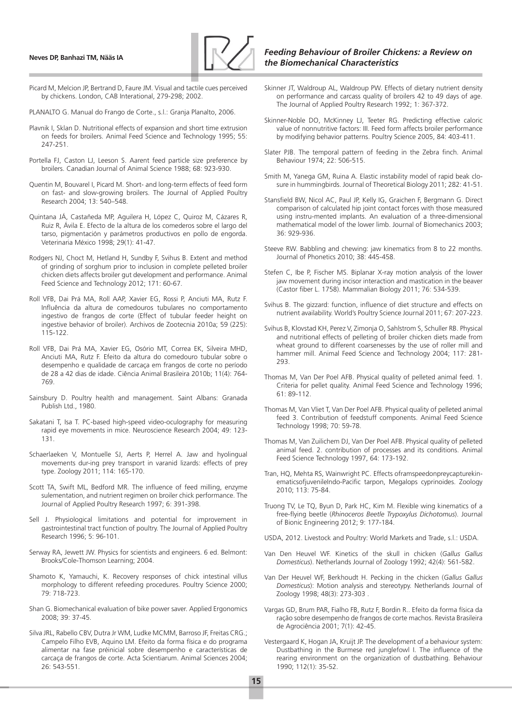

- **Neves DP, Banhazi TM, Nääs IA** *Feeding Behaviour of Broiler Chickens: a Review on the Biomechanical Characteristics*
- Picard M, Melcion JP, Bertrand D, Faure JM. Visual and tactile cues perceived by chickens. London, CAB Interational, 279-298; 2002.

PLANALTO G. Manual do Frango de Corte., s.l.: Granja Planalto, 2006.

- Plavnik I, Sklan D. Nutritional effects of expansion and short time extrusion on feeds for broilers. Animal Feed Science and Technology 1995; 55: 247-251.
- Portella FJ, Caston LJ, Leeson S. Aarent feed particle size preference by broilers. Canadian Journal of Animal Science 1988; 68: 923-930.
- Quentin M, Bouvarel I, Picard M. Short- and long-term effects of feed form on fast- and slow-growing broilers. The Journal of Applied Poultry Research 2004; 13: 540–548.
- Quintana JÁ, Castañeda MP, Aguilera H, López C, Quiroz M, Cázares R, Ruiz R, Ávila E. Efecto de la altura de los comederos sobre el largo del tarso, pigmentación y parámetros productivos en pollo de engorda. Veterinaria México 1998; 29(1): 41-47.
- Rodgers NJ, Choct M, Hetland H, Sundby F, Svihus B. Extent and method of grinding of sorghum prior to inclusion in complete pelleted broiler chicken diets affects broiler gut development and performance. Animal Feed Science and Technology 2012; 171: 60-67.
- Roll VFB, Dai Prá MA, Roll AAP, Xavier EG, Rossi P, Anciuti MA, Rutz F. Influência da altura de comedouros tubulares no comportamento ingestivo de frangos de corte (Effect of tubular feeder height on ingestive behavior of broiler). Archivos de Zootecnia 2010a; 59 (225): 115-122.
- Roll VFB, Dai Prá MA, Xavier EG, Osório MT, Correa EK, Silveira MHD, Anciuti MA, Rutz F. Efeito da altura do comedouro tubular sobre o desempenho e qualidade de carcaça em frangos de corte no período de 28 a 42 dias de idade. Ciência Animal Brasileira 2010b; 11(4): 764- 769.
- Sainsbury D. Poultry health and management. Saint Albans: Granada Publish Ltd., 1980.
- Sakatani T, Isa T. PC-based high-speed video-oculography for measuring rapid eye movements in mice. Neuroscience Research 2004; 49: 123- 131.
- Schaerlaeken V, Montuelle SJ, Aerts P, Herrel A. Jaw and hyolingual movements dur-ing prey transport in varanid lizards: effects of prey type. Zoology 2011; 114: 165-170.
- Scott TA, Swift ML, Bedford MR. The influence of feed milling, enzyme sulementation, and nutrient regimen on broiler chick performance. The Journal of Applied Poultry Research 1997; 6: 391-398.
- Sell J. Physiological limitations and potential for improvement in gastrointestinal tract function of poultry. The Journal of Applied Poultry Research 1996; 5: 96-101.
- Serway RA, Jewett JW. Physics for scientists and engineers. 6 ed. Belmont: Brooks/Cole-Thomson Learning; 2004.
- Shamoto K, Yamauchi, K. Recovery responses of chick intestinal villus morphology to different refeeding procedures. Poultry Science 2000; 79: 718-723.
- Shan G. Biomechanical evaluation of bike power saver. Applied Ergonomics 2008; 39: 37-45.
- Silva JRL, Rabello CBV, Dutra Jr WM, Ludke MCMM, Barroso JF, Freitas CRG.; Campelo Filho EVB, Aquino LM. Efeito da forma física e do programa alimentar na fase préinicial sobre desempenho e características de carcaça de frangos de corte. Acta Scientiarum. Animal Sciences 2004; 26: 543-551.
- Skinner JT, Waldroup AL, Waldroup PW. Effects of dietary nutrient density on performance and carcass quality of broilers 42 to 49 days of age. The Journal of Applied Poultry Research 1992; 1: 367-372.
- Skinner-Noble DO, McKinney LJ, Teeter RG. Predicting effective caloric value of nonnutritive factors: III. Feed form affects broiler performance by modifying behavior patterns. Poultry Science 2005, 84: 403-411.
- Slater PJB. The temporal pattern of feeding in the Zebra finch. Animal Behaviour 1974; 22: 506-515.
- Smith M, Yanega GM, Ruina A. Elastic instability model of rapid beak closure in hummingbirds. Journal of Theoretical Biology 2011; 282: 41-51.
- Stansfield BW, Nicol AC, Paul JP, Kelly IG, Graichen F, Bergmann G. Direct comparison of calculated hip joint contact forces with those measured using instru-mented implants. An evaluation of a three-dimensional mathematical model of the lower limb. Journal of Biomechanics 2003; 36: 929-936.
- Steeve RW. Babbling and chewing: jaw kinematics from 8 to 22 months. Journal of Phonetics 2010; 38: 445-458.
- Stefen C, Ibe P, Fischer MS. Biplanar X-ray motion analysis of the lower jaw movement during incisor interaction and mastication in the beaver (Castor fiber L. 1758). Mammalian Biology 2011; 76: 534-539.
- Svihus B. The gizzard: function, influence of diet structure and effects on nutrient availability. World's Poultry Science Journal 2011; 67: 207-223.
- Svihus B, Klovstad KH, Perez V, Zimonja O, Sahlstrom S, Schuller RB. Physical and nutritional effects of pelleting of broiler chicken diets made from wheat ground to different coarsenesses by the use of roller mill and hammer mill. Animal Feed Science and Technology 2004; 117: 281- 293.
- Thomas M, Van Der Poel AFB. Physical quality of pelleted animal feed. 1. Criteria for pellet quality. Animal Feed Science and Technology 1996; 61: 89-112.
- Thomas M, Van Vliet T, Van Der Poel AFB. Physical quality of pelleted animal feed 3. Contribution of feedstuff components. Animal Feed Science Technology 1998; 70: 59-78.
- Thomas M, Van Zuilichem DJ, Van Der Poel AFB. Physical quality of pelleted animal feed. 2. contribution of processes and its conditions. Animal Feed Science Technology 1997, 64: 173-192.
- Tran, HQ, Mehta RS, Wainwright PC. Effects oframspeedonpreycapturekinematicsofjuvenileIndo-Pacific tarpon, Megalops cyprinoides. Zoology 2010; 113: 75-84.
- Truong TV, Le TQ, Byun D, Park HC, Kim M. Flexible wing kinematics of a free-flying beetle (*Rhinoceros Beetle Trypoxylus Dichotomus*). Journal of Bionic Engineering 2012; 9: 177-184.
- USDA, 2012. Livestock and Poultry: World Markets and Trade, s.l.: USDA.
- Van Den Heuvel WF. Kinetics of the skull in chicken (*Gallus Gallus Domesticus*). Netherlands Journal of Zoology 1992; 42(4): 561-582.
- Van Der Heuvel WF, Berkhoudt H. Pecking in the chicken (*Gallus Gallus Domesticus*): Motion analysis and stereotypy. Netherlands Journal of Zoology 1998; 48(3): 273-303 .
- Vargas GD, Brum PAR, Fialho FB, Rutz F, Bordin R.. Efeito da forma física da ração sobre desempenho de frangos de corte machos. Revista Brasileira de Agrociência 2001; 7(1): 42-45.
- Vestergaard K, Hogan JA, Kruijt JP. The development of a behaviour system: Dustbathing in the Burmese red junglefowl I. The influence of the rearing environment on the organization of dustbathing. Behaviour 1990; 112(1): 35-52.